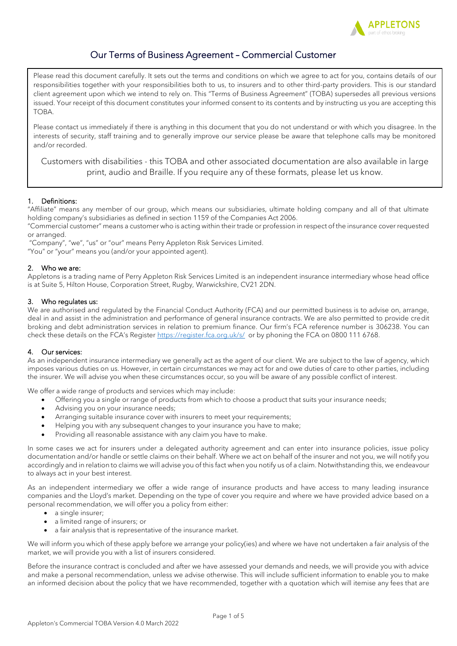

# Our Terms of Business Agreement – Commercial Customer

Please read this document carefully. It sets out the terms and conditions on which we agree to act for you, contains details of our responsibilities together with your responsibilities both to us, to insurers and to other third-party providers. This is our standard client agreement upon which we intend to rely on. This "Terms of Business Agreement" (TOBA) supersedes all previous versions issued. Your receipt of this document constitutes your informed consent to its contents and by instructing us you are accepting this TOBA.

Please contact us immediately if there is anything in this document that you do not understand or with which you disagree. In the interests of security, staff training and to generally improve our service please be aware that telephone calls may be monitored and/or recorded.

Customers with disabilities - this TOBA and other associated documentation are also available in large print, audio and Braille. If you require any of these formats, please let us know.

# 1. Definitions:

"Affiliate" means any member of our group, which means our subsidiaries, ultimate holding company and all of that ultimate holding company's subsidiaries as defined in section 1159 of the Companies Act 2006.

"Commercial customer" means a customer who is acting within their trade or profession in respect of the insurance cover requested or arranged.

"Company", "we", "us" or "our" means Perry Appleton Risk Services Limited.

"You" or "your" means you (and/or your appointed agent).

### 2. Who we are:

Appletons is a trading name of Perry Appleton Risk Services Limited is an independent insurance intermediary whose head office is at Suite 5, Hilton House, Corporation Street, Rugby, Warwickshire, CV21 2DN.

# 3. Who regulates us:

We are authorised and regulated by the Financial Conduct Authority (FCA) and our permitted business is to advise on, arrange, deal in and assist in the administration and performance of general insurance contracts. We are also permitted to provide credit broking and debt administration services in relation to premium finance. Our firm's FCA reference number is 306238. You can check these details on the FCA's Register <https://register.fca.org.uk/s/>or by phoning the FCA on 0800 111 6768.

# 4. Our services:

As an independent insurance intermediary we generally act as the agent of our client. We are subject to the law of agency, which imposes various duties on us. However, in certain circumstances we may act for and owe duties of care to other parties, including the insurer. We will advise you when these circumstances occur, so you will be aware of any possible conflict of interest.

We offer a wide range of products and services which may include:

- Offering you a single or range of products from which to choose a product that suits your insurance needs;
- Advising you on your insurance needs;
- Arranging suitable insurance cover with insurers to meet your requirements;
- Helping you with any subsequent changes to your insurance you have to make;
- Providing all reasonable assistance with any claim you have to make.

In some cases we act for insurers under a delegated authority agreement and can enter into insurance policies, issue policy documentation and/or handle or settle claims on their behalf. Where we act on behalf of the insurer and not you, we will notify you accordingly and in relation to claims we will advise you of this fact when you notify us of a claim. Notwithstanding this, we endeavour to always act in your best interest.

As an independent intermediary we offer a wide range of insurance products and have access to many leading insurance companies and the Lloyd's market. Depending on the type of cover you require and where we have provided advice based on a personal recommendation, we will offer you a policy from either:

- a single insurer;
- a limited range of insurers; or
- a fair analysis that is representative of the insurance market.

We will inform you which of these apply before we arrange your policy(ies) and where we have not undertaken a fair analysis of the market, we will provide you with a list of insurers considered.

Before the insurance contract is concluded and after we have assessed your demands and needs, we will provide you with advice and make a personal recommendation, unless we advise otherwise. This will include sufficient information to enable you to make an informed decision about the policy that we have recommended, together with a quotation which will itemise any fees that are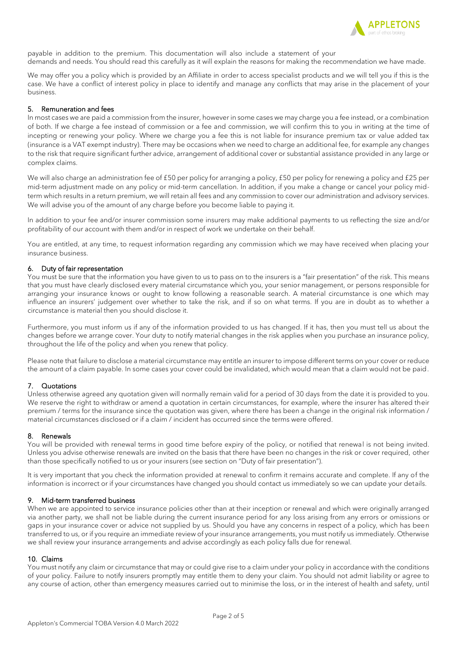

payable in addition to the premium. This documentation will also include a statement of your demands and needs. You should read this carefully as it will explain the reasons for making the recommendation we have made.

We may offer you a policy which is provided by an Affiliate in order to access specialist products and we will tell you if this is the case. We have a conflict of interest policy in place to identify and manage any conflicts that may arise in the placement of your business.

## 5. Remuneration and fees

In most cases we are paid a commission from the insurer, however in some cases we may charge you a fee instead, or a combination of both. If we charge a fee instead of commission or a fee and commission, we will confirm this to you in writing at the time of incepting or renewing your policy. Where we charge you a fee this is not liable for insurance premium tax or value added tax (insurance is a VAT exempt industry). There may be occasions when we need to charge an additional fee, for example any changes to the risk that require significant further advice, arrangement of additional cover or substantial assistance provided in any large or complex claims.

We will also charge an administration fee of £50 per policy for arranging a policy, £50 per policy for renewing a policy and £25 per mid-term adjustment made on any policy or mid-term cancellation. In addition, if you make a change or cancel your policy midterm which results in a return premium, we will retain all fees and any commission to cover our administration and advisory services. We will advise you of the amount of any charge before you become liable to paying it.

In addition to your fee and/or insurer commission some insurers may make additional payments to us reflecting the size and/or profitability of our account with them and/or in respect of work we undertake on their behalf.

You are entitled, at any time, to request information regarding any commission which we may have received when placing your insurance business.

### 6. Duty of fair representation

You must be sure that the information you have given to us to pass on to the insurers is a "fair presentation" of the risk. This means that you must have clearly disclosed every material circumstance which you, your senior management, or persons responsible for arranging your insurance knows or ought to know following a reasonable search. A material circumstance is one which may influence an insurers' judgement over whether to take the risk, and if so on what terms. If you are in doubt as to whether a circumstance is material then you should disclose it.

Furthermore, you must inform us if any of the information provided to us has changed. If it has, then you must tell us about the changes before we arrange cover. Your duty to notify material changes in the risk applies when you purchase an insurance policy, throughout the life of the policy and when you renew that policy.

Please note that failure to disclose a material circumstance may entitle an insurer to impose different terms on your cover or reduce the amount of a claim payable. In some cases your cover could be invalidated, which would mean that a claim would not be paid.

# 7. Quotations

Unless otherwise agreed any quotation given will normally remain valid for a period of 30 days from the date it is provided to you. We reserve the right to withdraw or amend a quotation in certain circumstances, for example, where the insurer has altered their premium / terms for the insurance since the quotation was given, where there has been a change in the original risk information / material circumstances disclosed or if a claim / incident has occurred since the terms were offered.

#### 8. Renewals

You will be provided with renewal terms in good time before expiry of the policy, or notified that renewal is not being invited. Unless you advise otherwise renewals are invited on the basis that there have been no changes in the risk or cover required, other than those specifically notified to us or your insurers (see section on "Duty of fair presentation").

It is very important that you check the information provided at renewal to confirm it remains accurate and complete. If any of the information is incorrect or if your circumstances have changed you should contact us immediately so we can update your details.

# 9. Mid-term transferred business

When we are appointed to service insurance policies other than at their inception or renewal and which were originally arranged via another party, we shall not be liable during the current insurance period for any loss arising from any errors or omissions or gaps in your insurance cover or advice not supplied by us. Should you have any concerns in respect of a policy, which has been transferred to us, or if you require an immediate review of your insurance arrangements, you must notify us immediately. Otherwise we shall review your insurance arrangements and advise accordingly as each policy falls due for renewal.

# 10. Claims

You must notify any claim or circumstance that may or could give rise to a claim under your policy in accordance with the conditions of your policy. Failure to notify insurers promptly may entitle them to deny your claim. You should not admit liability or agree to any course of action, other than emergency measures carried out to minimise the loss, or in the interest of health and safety, until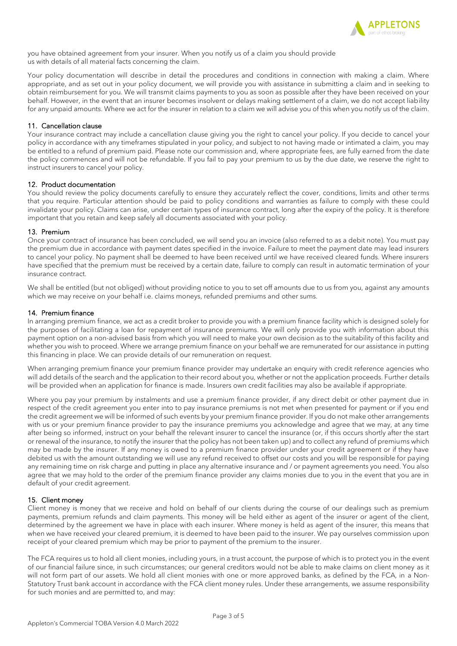

you have obtained agreement from your insurer. When you notify us of a claim you should provide us with details of all material facts concerning the claim.

Your policy documentation will describe in detail the procedures and conditions in connection with making a claim. Where appropriate, and as set out in your policy document, we will provide you with assistance in submitting a claim and in seeking to obtain reimbursement for you. We will transmit claims payments to you as soon as possible after they have been received on your behalf. However, in the event that an insurer becomes insolvent or delays making settlement of a claim, we do not accept liability for any unpaid amounts. Where we act for the insurer in relation to a claim we will advise you of this when you notify us of the claim.

# 11. Cancellation clause

Your insurance contract may include a cancellation clause giving you the right to cancel your policy. If you decide to cancel your policy in accordance with any timeframes stipulated in your policy, and subject to not having made or intimated a claim, you may be entitled to a refund of premium paid. Please note our commission and, where appropriate fees, are fully earned from the date the policy commences and will not be refundable. If you fail to pay your premium to us by the due date, we reserve the right to instruct insurers to cancel your policy.

# 12. Product documentation

You should review the policy documents carefully to ensure they accurately reflect the cover, conditions, limits and other terms that you require. Particular attention should be paid to policy conditions and warranties as failure to comply with these could invalidate your policy. Claims can arise, under certain types of insurance contract, long after the expiry of the policy. It is therefore important that you retain and keep safely all documents associated with your policy.

### 13. Premium

Once your contract of insurance has been concluded, we will send you an invoice (also referred to as a debit note). You must pay the premium due in accordance with payment dates specified in the invoice. Failure to meet the payment date may lead insurers to cancel your policy. No payment shall be deemed to have been received until we have received cleared funds. Where insurers have specified that the premium must be received by a certain date, failure to comply can result in automatic termination of your insurance contract.

We shall be entitled (but not obliged) without providing notice to you to set off amounts due to us from you, against any amounts which we may receive on your behalf i.e. claims moneys, refunded premiums and other sums.

### 14. Premium finance

In arranging premium finance, we act as a credit broker to provide you with a premium finance facility which is designed solely for the purposes of facilitating a loan for repayment of insurance premiums. We will only provide you with information about this payment option on a non-advised basis from which you will need to make your own decision as to the suitability of this facility and whether you wish to proceed. Where we arrange premium finance on your behalf we are remunerated for our assistance in putting this financing in place. We can provide details of our remuneration on request.

When arranging premium finance your premium finance provider may undertake an enquiry with credit reference agencies who will add details of the search and the application to their record about you, whether or not the application proceeds. Further details will be provided when an application for finance is made. Insurers own credit facilities may also be available if appropriate.

Where you pay your premium by instalments and use a premium finance provider, if any direct debit or other payment due in respect of the credit agreement you enter into to pay insurance premiums is not met when presented for payment or if you end the credit agreement we will be informed of such events by your premium finance provider. If you do not make other arrangements with us or your premium finance provider to pay the insurance premiums you acknowledge and agree that we may, at any time after being so informed, instruct on your behalf the relevant insurer to cancel the insurance (or, if this occurs shortly after the start or renewal of the insurance, to notify the insurer that the policy has not been taken up) and to collect any refund of premiums which may be made by the insurer. If any money is owed to a premium finance provider under your credit agreement or if they have debited us with the amount outstanding we will use any refund received to offset our costs and you will be responsible for paying any remaining time on risk charge and putting in place any alternative insurance and / or payment agreements you need. You also agree that we may hold to the order of the premium finance provider any claims monies due to you in the event that you are in default of your credit agreement.

# 15. Client money

Client money is money that we receive and hold on behalf of our clients during the course of our dealings such as premium payments, premium refunds and claim payments. This money will be held either as agent of the insurer or agent of the client, determined by the agreement we have in place with each insurer. Where money is held as agent of the insurer, this means that when we have received your cleared premium, it is deemed to have been paid to the insurer. We pay ourselves commission upon receipt of your cleared premium which may be prior to payment of the premium to the insurer.

The FCA requires us to hold all client monies, including yours, in a trust account, the purpose of which is to protect you in the event of our financial failure since, in such circumstances; our general creditors would not be able to make claims on client money as it will not form part of our assets. We hold all client monies with one or more approved banks, as defined by the FCA, in a Non-Statutory Trust bank account in accordance with the FCA client money rules. Under these arrangements, we assume responsibility for such monies and are permitted to, and may: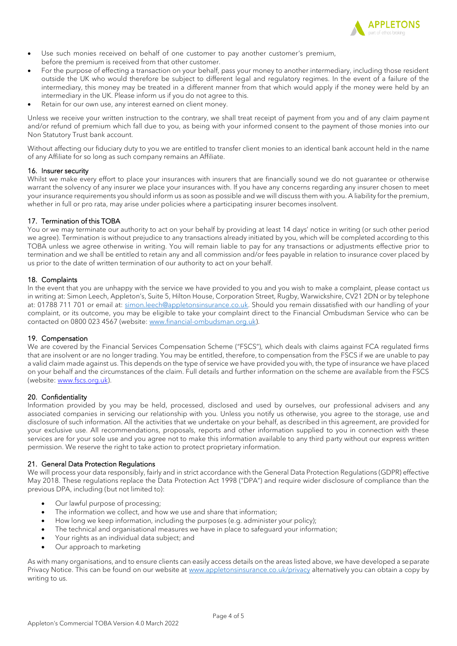

- Use such monies received on behalf of one customer to pay another customer's premium, before the premium is received from that other customer.
- For the purpose of effecting a transaction on your behalf, pass your money to another intermediary, including those resident outside the UK who would therefore be subject to different legal and regulatory regimes. In the event of a failure of the intermediary, this money may be treated in a different manner from that which would apply if the money were held by an intermediary in the UK. Please inform us if you do not agree to this.
- Retain for our own use, any interest earned on client money.

Unless we receive your written instruction to the contrary, we shall treat receipt of payment from you and of any claim payment and/or refund of premium which fall due to you, as being with your informed consent to the payment of those monies into our Non Statutory Trust bank account.

Without affecting our fiduciary duty to you we are entitled to transfer client monies to an identical bank account held in the name of any Affiliate for so long as such company remains an Affiliate.

### 16. Insurer security

Whilst we make every effort to place your insurances with insurers that are financially sound we do not guarantee or otherwise warrant the solvency of any insurer we place your insurances with. If you have any concerns regarding any insurer chosen to meet your insurance requirements you should inform us as soon as possible and we will discuss them with you. A liability for the premium, whether in full or pro rata, may arise under policies where a participating insurer becomes insolvent.

# 17. Termination of this TOBA

You or we may terminate our authority to act on your behalf by providing at least 14 days' notice in writing (or such other period we agree). Termination is without prejudice to any transactions already initiated by you, which will be completed according to this TOBA unless we agree otherwise in writing. You will remain liable to pay for any transactions or adjustments effective prior to termination and we shall be entitled to retain any and all commission and/or fees payable in relation to insurance cover placed by us prior to the date of written termination of our authority to act on your behalf.

### 18. Complaints

In the event that you are unhappy with the service we have provided to you and you wish to make a complaint, please contact us in writing at: Simon Leech, Appleton's, Suite 5, Hilton House, Corporation Street, Rugby, Warwickshire, CV21 2DN or by telephone at: 01788 711 701 or email at[: simon.leech@appletonsinsurance.co.uk.](mailto:simon.leech@appletonsinsurance.co.uk) Should you remain dissatisfied with our handling of your complaint, or its outcome, you may be eligible to take your complaint direct to the Financial Ombudsman Service who can be contacted on 0800 023 4567 (website[: www.financial-ombudsman.org.uk\)](http://www.financial-ombudsman.org.uk/).

# 19. Compensation

We are covered by the Financial Services Compensation Scheme ("FSCS"), which deals with claims against FCA regulated firms that are insolvent or are no longer trading. You may be entitled, therefore, to compensation from the FSCS if we are unable to pay a valid claim made against us. This depends on the type of service we have provided you with, the type of insurance we have placed on your behalf and the circumstances of the claim. Full details and further information on the scheme are available from the FSCS (website: [www.fscs.org.uk\)](http://www.fscs.org.uk/).

# 20. Confidentiality

Information provided by you may be held, processed, disclosed and used by ourselves, our professional advisers and any associated companies in servicing our relationship with you. Unless you notify us otherwise, you agree to the storage, use and disclosure of such information. All the activities that we undertake on your behalf, as described in this agreement, are provided for your exclusive use. All recommendations, proposals, reports and other information supplied to you in connection with these services are for your sole use and you agree not to make this information available to any third party without our express written permission. We reserve the right to take action to protect proprietary information.

# 21. General Data Protection Regulations

We will process your data responsibly, fairly and in strict accordance with the General Data Protection Regulations (GDPR) effective May 2018. These regulations replace the Data Protection Act 1998 ("DPA") and require wider disclosure of compliance than the previous DPA, including (but not limited to):

- Our lawful purpose of processing;
- The information we collect, and how we use and share that information;
- How long we keep information, including the purposes (e.g. administer your policy);
- The technical and organisational measures we have in place to safeguard your information;
- Your rights as an individual data subject; and
- Our approach to marketing

As with many organisations, and to ensure clients can easily access details on the areas listed above, we have developed a separate Privacy Notice. This can be found on our website at [www.appletonsinsurance.co.uk/privacy](http://www.appletonsinsurance.co.uk/privacy) alternatively you can obtain a copy by writing to us.